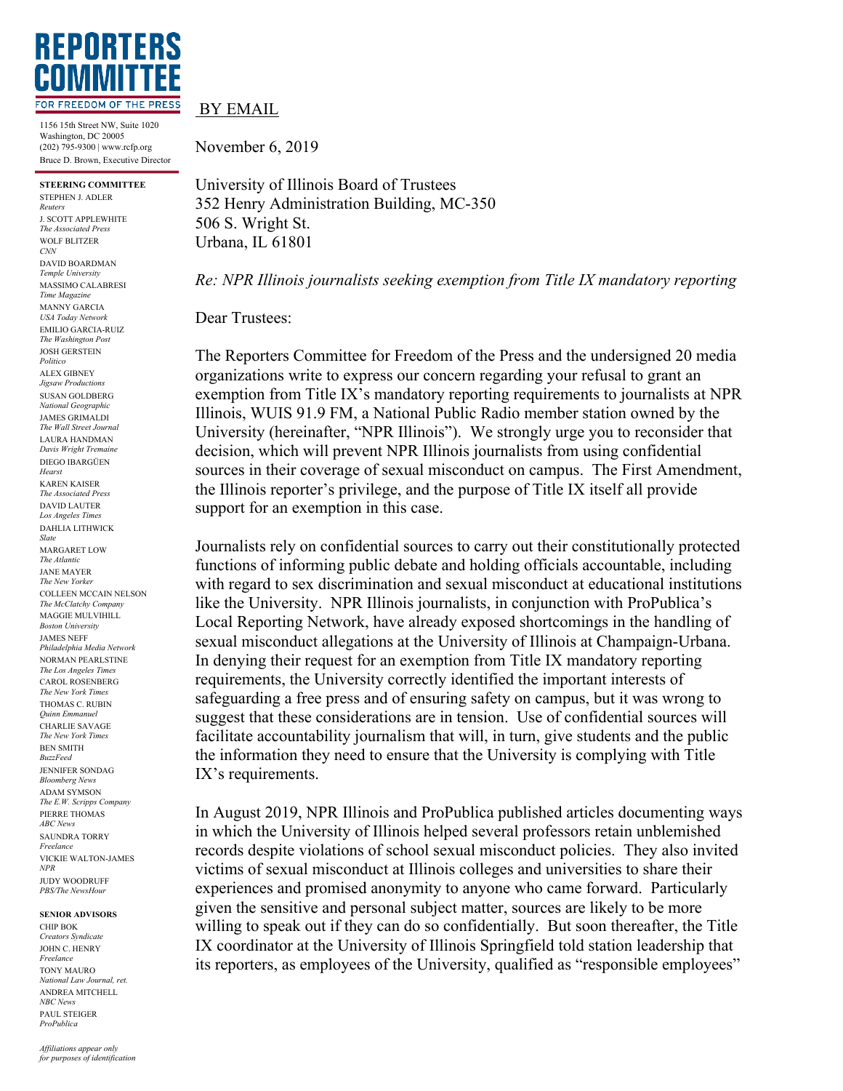

1156 15th Street NW, Suite 1020 Washington, DC 20005 (202) 795-9300 | www.rcfp.org Bruce D. Brown, Executive Director

**STEERING COMMITTEE** STEPHEN J. ADLER *Reuters* J. SCOTT APPLEWHITE *The Associated Press* WOLF BLITZER *CNN* DAVID BOARDMAN *Temple University* MASSIMO CALABRESI *Time Magazine* MANNY GARCIA *USA Today Network* EMILIO GARCIA-RUIZ *The Washington Post* JOSH GERSTEIN *Politico* ALEX GIBNEY *Jigsaw Productions* SUSAN GOLDBERG *National Geographic* JAMES GRIMALDI *The Wall Street Journal* LAURA HANDMAN *Davis Wright Tremaine* DIEGO IBARGÜEN *Hearst* KAREN KAISER *The Associated Press* DAVID LAUTER *Los Angeles Times* DAHLIA LITHWICK *Slate* MARGARET LOW *The Atlantic* JANE MAYER *The New Yorker* COLLEEN MCCAIN NELSON *The McClatchy Company* MAGGIE MULVIHILL *Boston University* JAMES NEFF *Philadelphia Media Network* NORMAN PEARLSTINE *The Los Angeles Times* CAROL ROSENBERG *The New York Times* THOMAS C. RUBIN *Quinn Emmanuel* CHARLIE SAVAGE *The New York Times* BEN SMITH *BuzzFeed* JENNIFER SONDAG *Bloomberg News* ADAM SYMSON *The E.W. Scripps Company* PIERRE THOMAS *ABC News* SAUNDRA TORRY *Freelance* VICKIE WALTON-JAMES *NPR* JUDY WOODRUFF *PBS/The NewsHour*

## **SENIOR ADVISORS**

CHIP BOK *Creators Syndicate* JOHN C. HENRY *Freelance* TONY MAURO *National Law Journal, ret.* ANDREA MITCHELL *NBC News* PAUL STEIGER *ProPublica*

## BY EMAIL

November 6, 2019

University of Illinois Board of Trustees 352 Henry Administration Building, MC-350 506 S. Wright St. Urbana, IL 61801

*Re: NPR Illinois journalists seeking exemption from Title IX mandatory reporting*

Dear Trustees:

The Reporters Committee for Freedom of the Press and the undersigned 20 media organizations write to express our concern regarding your refusal to grant an exemption from Title IX's mandatory reporting requirements to journalists at NPR Illinois, WUIS 91.9 FM, a National Public Radio member station owned by the University (hereinafter, "NPR Illinois"). We strongly urge you to reconsider that decision, which will prevent NPR Illinois journalists from using confidential sources in their coverage of sexual misconduct on campus. The First Amendment, the Illinois reporter's privilege, and the purpose of Title IX itself all provide support for an exemption in this case.

Journalists rely on confidential sources to carry out their constitutionally protected functions of informing public debate and holding officials accountable, including with regard to sex discrimination and sexual misconduct at educational institutions like the University. NPR Illinois journalists, in conjunction with ProPublica's Local Reporting Network, have already exposed shortcomings in the handling of sexual misconduct allegations at the University of Illinois at Champaign-Urbana. In denying their request for an exemption from Title IX mandatory reporting requirements, the University correctly identified the important interests of safeguarding a free press and of ensuring safety on campus, but it was wrong to suggest that these considerations are in tension. Use of confidential sources will facilitate accountability journalism that will, in turn, give students and the public the information they need to ensure that the University is complying with Title IX's requirements.

In August 2019, NPR Illinois and ProPublica published articles documenting ways in which the University of Illinois helped several professors retain unblemished records despite violations of school sexual misconduct policies. They also invited victims of sexual misconduct at Illinois colleges and universities to share their experiences and promised anonymity to anyone who came forward. Particularly given the sensitive and personal subject matter, sources are likely to be more willing to speak out if they can do so confidentially. But soon thereafter, the Title IX coordinator at the University of Illinois Springfield told station leadership that its reporters, as employees of the University, qualified as "responsible employees"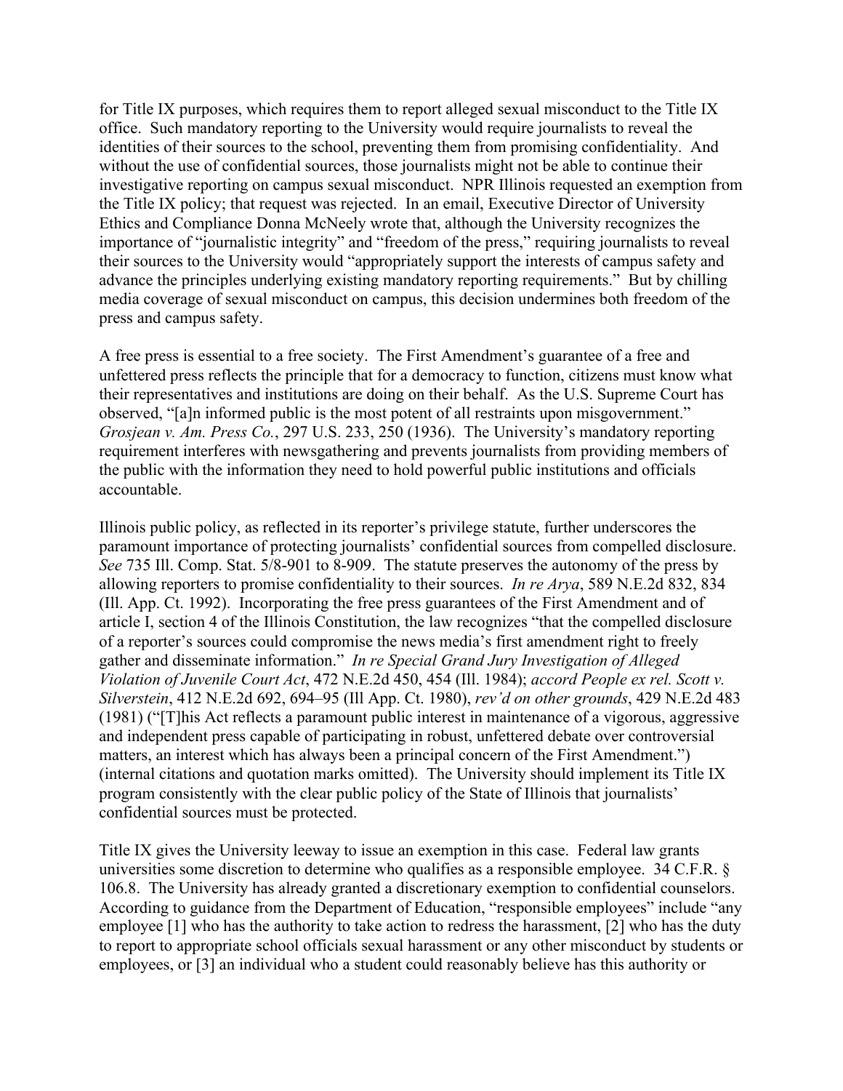for Title IX purposes, which requires them to report alleged sexual misconduct to the Title IX office. Such mandatory reporting to the University would require journalists to reveal the identities of their sources to the school, preventing them from promising confidentiality. And without the use of confidential sources, those journalists might not be able to continue their investigative reporting on campus sexual misconduct. NPR Illinois requested an exemption from the Title IX policy; that request was rejected. In an email, Executive Director of University Ethics and Compliance Donna McNeely wrote that, although the University recognizes the importance of "journalistic integrity" and "freedom of the press," requiring journalists to reveal their sources to the University would "appropriately support the interests of campus safety and advance the principles underlying existing mandatory reporting requirements." But by chilling media coverage of sexual misconduct on campus, this decision undermines both freedom of the press and campus safety.

A free press is essential to a free society. The First Amendment's guarantee of a free and unfettered press reflects the principle that for a democracy to function, citizens must know what their representatives and institutions are doing on their behalf. As the U.S. Supreme Court has observed, "[a]n informed public is the most potent of all restraints upon misgovernment." *Grosjean v. Am. Press Co.*, 297 U.S. 233, 250 (1936). The University's mandatory reporting requirement interferes with newsgathering and prevents journalists from providing members of the public with the information they need to hold powerful public institutions and officials accountable.

Illinois public policy, as reflected in its reporter's privilege statute, further underscores the paramount importance of protecting journalists' confidential sources from compelled disclosure. *See* 735 Ill. Comp. Stat. 5/8-901 to 8-909. The statute preserves the autonomy of the press by allowing reporters to promise confidentiality to their sources. *In re Arya*, 589 N.E.2d 832, 834 (Ill. App. Ct. 1992). Incorporating the free press guarantees of the First Amendment and of article I, section 4 of the Illinois Constitution, the law recognizes "that the compelled disclosure of a reporter's sources could compromise the news media's first amendment right to freely gather and disseminate information." *In re Special Grand Jury Investigation of Alleged Violation of Juvenile Court Act*, 472 N.E.2d 450, 454 (Ill. 1984); *accord People ex rel. Scott v. Silverstein*, 412 N.E.2d 692, 694–95 (Ill App. Ct. 1980), *rev'd on other grounds*, 429 N.E.2d 483 (1981) ("[T]his Act reflects a paramount public interest in maintenance of a vigorous, aggressive and independent press capable of participating in robust, unfettered debate over controversial matters, an interest which has always been a principal concern of the First Amendment.") (internal citations and quotation marks omitted). The University should implement its Title IX program consistently with the clear public policy of the State of Illinois that journalists' confidential sources must be protected.

Title IX gives the University leeway to issue an exemption in this case. Federal law grants universities some discretion to determine who qualifies as a responsible employee. 34 C.F.R. § 106.8. The University has already granted a discretionary exemption to confidential counselors. According to guidance from the Department of Education, "responsible employees" include "any employee [1] who has the authority to take action to redress the harassment, [2] who has the duty to report to appropriate school officials sexual harassment or any other misconduct by students or employees, or [3] an individual who a student could reasonably believe has this authority or